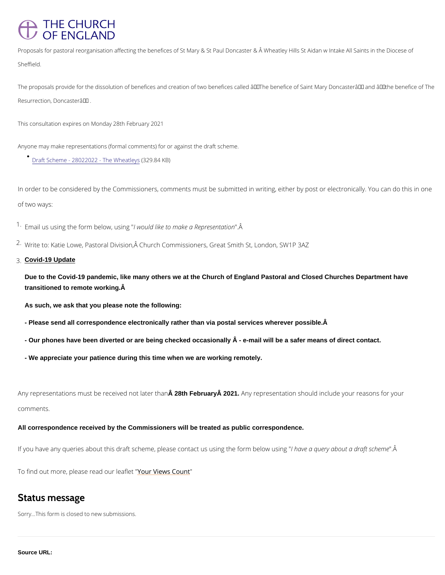## THE CHURCH OF ENGLAND

Proposals for pastoral reorganisation affecting the benefices of St Mary & St Paul Doncaster & Â Wheatl Sheffield.

The proposals provide for the dissolution of benefices and creation of two benefices called  $\hat{\mathbf{a}} \in \mathbf{\infty}$ The bene Resurrection, Doncaster $a \in \bullet$ .

In order to be considered by the Commissioners, comments must be submitted in writing, eith of two ways:

 $1.5$  F mail us using the form lbwe bouwld luiskieng to make a "R  $\hat{A}$  presentation

This consultation expires on Monday 28th February 2021

 $2 \cdot$ Write to: Katie Lowe, Pastoral Division,  $\hat{A}$  Church Commissioners, Great Smith St, London, S 3.Covid-19 Update

Anyone may make representations (formal comments) for or against the draft scheme.

[Draft Scheme - 28022022 -](/sites/default/files/2022-01/Draft Scheme - 28022022 - The Wheatleys.pdf) (B20.84 KaB)eys

Any representations must be receina Beha February Ana taan alter than presentation should include your reas comments.

Due to the Covid-19 pandemic, like many others we at the Church of England Pastoral and Closed Churches Department have transitioned to remote working.

As such, we ask that you please note the following:

- Please send all correspondence electronically rather than via postal services wherever possible. Â

- Our phones have been diverted or are being checked occasionally  $\hat{A}$  - e-mail will be a safer means of direct contact.

- We appreciate your patience during this time when we are working remotely.

All correspondence received by the Commissioners will be treated as public correspondence.

If you have any queries about this draft scheme, please conhtahcatvesauqsuinegythade of orma. Na dea of w sucshion

To find out more, please read rolielves flectuht

## Status message

Sorry...This form is closed to new submissions.

Source URL: